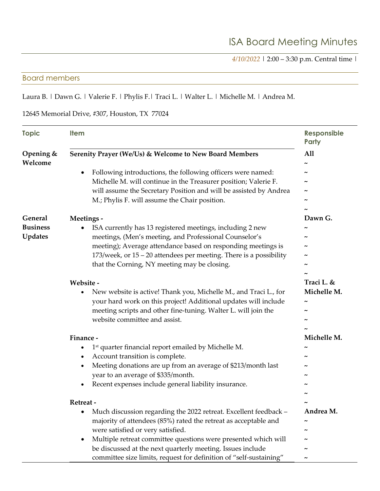*4/10/2022* | 2:00 – 3:30 p.m. Central time |

#### Board members

## Laura B. | Dawn G. | Valerie F. | Phylis F.| Traci L. | Walter L. | Michelle M. | Andrea M.

### 12645 Memorial Drive, #307, Houston, TX 77024

| <b>Topic</b>         | <b>Item</b>                                                                   | Responsible<br>Party         |
|----------------------|-------------------------------------------------------------------------------|------------------------------|
| Opening &<br>Welcome | Serenity Prayer (We/Us) & Welcome to New Board Members                        | A11<br>$\tilde{\phantom{a}}$ |
|                      | Following introductions, the following officers were named:<br>٠              | $\tilde{\phantom{a}}$        |
|                      | Michelle M. will continue in the Treasurer position; Valerie F.               |                              |
|                      | will assume the Secretary Position and will be assisted by Andrea             | ~                            |
|                      | M.; Phylis F. will assume the Chair position.                                 | ~                            |
|                      |                                                                               |                              |
| General              | Meetings -                                                                    | Dawn G.                      |
| <b>Business</b>      | ISA currently has 13 registered meetings, including 2 new<br>$\bullet$        |                              |
| <b>Updates</b>       | meetings, (Men's meeting, and Professional Counselor's                        | ~                            |
|                      | meeting); Average attendance based on responding meetings is                  |                              |
|                      | 173/week, or 15 – 20 attendees per meeting. There is a possibility            | $\tilde{\phantom{a}}$        |
|                      | that the Corning, NY meeting may be closing.                                  | $\tilde{\phantom{a}}$        |
|                      |                                                                               |                              |
|                      | Website -                                                                     | Traci L. &                   |
|                      | New website is active! Thank you, Michelle M., and Traci L., for              | Michelle M.                  |
|                      | your hard work on this project! Additional updates will include               |                              |
|                      | meeting scripts and other fine-tuning. Walter L. will join the                | $\tilde{\phantom{a}}$        |
|                      | website committee and assist.                                                 |                              |
|                      |                                                                               |                              |
|                      | Finance -                                                                     | Michelle M.                  |
|                      | 1 <sup>st</sup> quarter financial report emailed by Michelle M.               | $\tilde{\phantom{a}}$        |
|                      | Account transition is complete.<br>٠                                          | ~                            |
|                      | Meeting donations are up from an average of \$213/month last<br>$\bullet$     |                              |
|                      | year to an average of \$335/month.                                            |                              |
|                      | Recent expenses include general liability insurance.                          |                              |
|                      |                                                                               |                              |
|                      | Retreat -                                                                     |                              |
|                      | Much discussion regarding the 2022 retreat. Excellent feedback -<br>$\bullet$ | Andrea M.                    |
|                      | majority of attendees (85%) rated the retreat as acceptable and               | ~                            |
|                      | were satisfied or very satisfied.                                             |                              |
|                      | Multiple retreat committee questions were presented which will<br>$\bullet$   |                              |
|                      | be discussed at the next quarterly meeting. Issues include                    |                              |
|                      | committee size limits, request for definition of "self-sustaining"            | $\tilde{\phantom{a}}$        |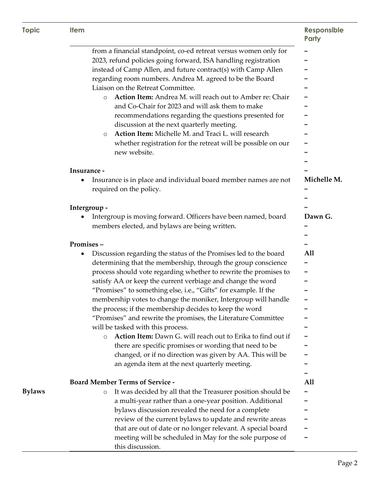| <b>Topic</b> | <b>Item</b> | Responsible |  |
|--------------|-------------|-------------|--|
|--------------|-------------|-------------|--|

# **Party**

|               | from a financial standpoint, co-ed retreat versus women only for             | $\tilde{}$            |
|---------------|------------------------------------------------------------------------------|-----------------------|
|               | 2023, refund policies going forward, ISA handling registration               |                       |
|               | instead of Camp Allen, and future contract(s) with Camp Allen                | $\tilde{\phantom{a}}$ |
|               | regarding room numbers. Andrea M. agreed to be the Board                     | ~                     |
|               | Liaison on the Retreat Committee.                                            | ~                     |
|               | Action Item: Andrea M. will reach out to Amber re: Chair<br>$\circ$          |                       |
|               | and Co-Chair for 2023 and will ask them to make                              |                       |
|               | recommendations regarding the questions presented for                        | ~                     |
|               | discussion at the next quarterly meeting.                                    | ~                     |
|               | Action Item: Michelle M. and Traci L. will research<br>$\circ$               |                       |
|               | whether registration for the retreat will be possible on our                 |                       |
|               | new website.                                                                 |                       |
|               |                                                                              | ∼                     |
|               | Insurance -                                                                  | ~                     |
|               | Insurance is in place and individual board member names are not<br>٠         | Michelle M.           |
|               | required on the policy.                                                      | $\tilde{\phantom{a}}$ |
|               |                                                                              |                       |
|               | Intergroup -                                                                 |                       |
|               | Intergroup is moving forward. Officers have been named, board                | Dawn G.               |
|               | members elected, and bylaws are being written.                               | $\tilde{\phantom{a}}$ |
|               |                                                                              | $\tilde{\phantom{a}}$ |
|               | Promises-                                                                    | $\tilde{\phantom{a}}$ |
|               | Discussion regarding the status of the Promises led to the board<br>٠        | All                   |
|               | determining that the membership, through the group conscience                | $\tilde{\phantom{a}}$ |
|               | process should vote regarding whether to rewrite the promises to             | $\tilde{\phantom{a}}$ |
|               | satisfy AA or keep the current verbiage and change the word                  | $\tilde{\phantom{a}}$ |
|               | "Promises" to something else, i.e., "Gifts" for example. If the              | ~                     |
|               | membership votes to change the moniker, Intergroup will handle               | $\tilde{\phantom{a}}$ |
|               | the process; if the membership decides to keep the word                      | $\tilde{\phantom{a}}$ |
|               | "Promises" and rewrite the promises, the Literature Committee                |                       |
|               | will be tasked with this process.                                            | $\tilde{\phantom{a}}$ |
|               | Action Item: Dawn G. will reach out to Erika to find out if<br>$\circ$       |                       |
|               | there are specific promises or wording that need to be                       |                       |
|               | changed, or if no direction was given by AA. This will be                    |                       |
|               | an agenda item at the next quarterly meeting.                                |                       |
|               |                                                                              | ~                     |
|               | <b>Board Member Terms of Service -</b>                                       | All                   |
| <b>Bylaws</b> | It was decided by all that the Treasurer position should be<br>$\circ$       |                       |
|               | a multi-year rather than a one-year position. Additional                     | ~                     |
|               | bylaws discussion revealed the need for a complete                           | $\tilde{\phantom{a}}$ |
|               | review of the current bylaws to update and rewrite areas                     |                       |
|               | that are out of date or no longer relevant. A special board                  | ~                     |
|               | meeting will be scheduled in May for the sole purpose of<br>this discussion. |                       |